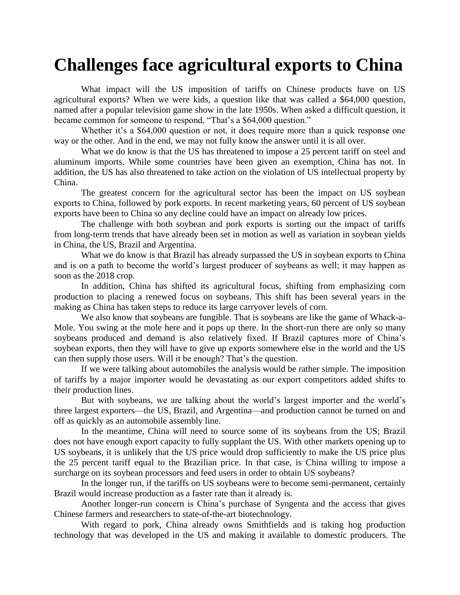## **Challenges face agricultural exports to China**

What impact will the US imposition of tariffs on Chinese products have on US agricultural exports? When we were kids, a question like that was called a \$64,000 question, named after a popular television game show in the late 1950s. When asked a difficult question, it became common for someone to respond, "That's a \$64,000 question."

Whether it's a \$64,000 question or not, it does require more than a quick response one way or the other. And in the end, we may not fully know the answer until it is all over.

What we do know is that the US has threatened to impose a 25 percent tariff on steel and aluminum imports. While some countries have been given an exemption, China has not. In addition, the US has also threatened to take action on the violation of US intellectual property by China.

The greatest concern for the agricultural sector has been the impact on US soybean exports to China, followed by pork exports. In recent marketing years, 60 percent of US soybean exports have been to China so any decline could have an impact on already low prices.

The challenge with both soybean and pork exports is sorting out the impact of tariffs from long-term trends that have already been set in motion as well as variation in soybean yields in China, the US, Brazil and Argentina.

What we do know is that Brazil has already surpassed the US in soybean exports to China and is on a path to become the world's largest producer of soybeans as well; it may happen as soon as the 2018 crop.

In addition, China has shifted its agricultural focus, shifting from emphasizing corn production to placing a renewed focus on soybeans. This shift has been several years in the making as China has taken steps to reduce its large carryover levels of corn.

We also know that soybeans are fungible. That is soybeans are like the game of Whack-a-Mole. You swing at the mole here and it pops up there. In the short-run there are only so many soybeans produced and demand is also relatively fixed. If Brazil captures more of China's soybean exports, then they will have to give up exports somewhere else in the world and the US can then supply those users. Will it be enough? That's the question.

If we were talking about automobiles the analysis would be rather simple. The imposition of tariffs by a major importer would be devastating as our export competitors added shifts to their production lines.

But with soybeans, we are talking about the world's largest importer and the world's three largest exporters—the US, Brazil, and Argentina—and production cannot be turned on and off as quickly as an automobile assembly line.

In the meantime, China will need to source some of its soybeans from the US; Brazil does not have enough export capacity to fully supplant the US. With other markets opening up to US soybeans, it is unlikely that the US price would drop sufficiently to make the US price plus the 25 percent tariff equal to the Brazilian price. In that case, is China willing to impose a surcharge on its soybean processors and feed users in order to obtain US soybeans?

In the longer run, if the tariffs on US soybeans were to become semi-permanent, certainly Brazil would increase production as a faster rate than it already is.

Another longer-run concern is China's purchase of Syngenta and the access that gives Chinese farmers and researchers to state-of-the-art biotechnology.

With regard to pork, China already owns Smithfields and is taking hog production technology that was developed in the US and making it available to domestic producers. The